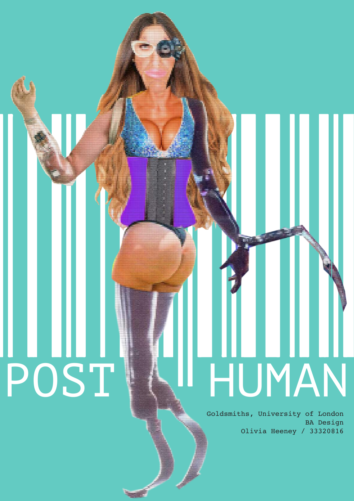POST HUMAN

Goldsmiths, University of London BA Design Olivia Heeney / 33320816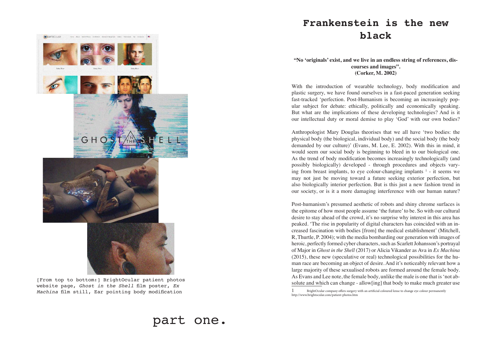**"No 'originals' exist, and we live in an endless string of references, discourses and images". (Corker, M. 2002)**

With the introduction of wearable technology, body modification and plastic surgery, we have found ourselves in a fast-paced generation seeking fast-tracked 'perfection. Post-Humanism is becoming an increasingly popular subject for debate: ethically, politically and economically speaking. But what are the implications of these developing technologies? And is it our intellectual duty or moral demise to play 'God' with our own bodies?

Anthropologist Mary Douglas theorises that we all have 'two bodies: the physical body (the biological, individual body) and the social body (the body demanded by our culture)' (Evans, M. Lee, E. 2002). With this in mind, it would seem our social body is beginning to bleed in to our biological one. As the trend of body modification becomes increasingly technologically (and possibly biologically) developed - through procedures and objects varying from breast implants, to eye colour-changing implants  $<sup>1</sup>$  - it seems we</sup> may not just be moving toward a future seeking exterior perfection, but also biologically interior perfection. But is this just a new fashion trend in our society, or is it a more damaging interference with our human nature?

BrightOcular company offers surgery with an artificial coloured lense to change eye colour permanently http://www.brightocular.com/patient-photos.htm

Post-humanism's presumed aesthetic of robots and shiny chrome surfaces is the epitome of how most people assume 'the future' to be. So with our cultural desire to stay ahead of the crowd, it's no surprise why interest in this area has peaked. 'The rise in popularity of digital characters has coincided with an increased fascination with bodies [from] the medical establishment' (Mitchell, R, Thurtle, P. 2004); with the media bombarding our generation with images of heroic, perfectly formed cyber characters, such as Scarlett Johansson's portrayal of Major in *Ghost in the Shell* (2017) or Alicia Vikander as Ava in *Ex Machina* (2015), these new (speculative or real) technological possibilities for the human race are becoming an object of desire. And it's noticeably relevant how a large majority of these sexualised robots are formed around the female body. As Evans and Lee note, the female body, unlike the male is one that is 'not absolute and which can change - allow[ing] that body to make much greater use

# **Frankenstein is the new black**

[From top to bottom:] BrightOcular patient photos website page, *Ghost in the Shell* film poster, *Ex Machina* film still, Ear pointing body modification

GH

**BRIGHTOCULAR** 

part one.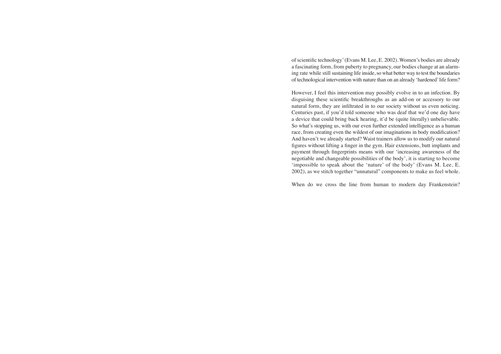of scientific technology' (Evans M. Lee, E. 2002). Women's bodies are already a fascinating form, from puberty to pregnancy, our bodies change at an alarming rate while still sustaining life inside, so what better way to test the boundaries of technological intervention with nature than on an already 'hardened' life form?

However, I feel this intervention may possibly evolve in to an infection. By disguising these scientific breakthroughs as an add-on or accessory to our natural form, they are infiltrated in to our society without us even noticing. Centuries past, if you'd told someone who was deaf that we'd one day have a device that could bring back hearing, it'd be (quite literally) unbelievable. So what's stopping us, with our even further extended intelligence as a human race, from creating even the wildest of our imaginations in body modification? And haven't we already started? Waist trainers allow us to modify our natural figures without lifting a finger in the gym. Hair extensions, butt implants and payment through fingerprints means with our 'increasing awareness of the negotiable and changeable possibilities of the body', it is starting to become 'impossible to speak about the 'nature' of the body' (Evans M. Lee, E. 2002), as we stitch together "unnatural" components to make us feel whole.

When do we cross the line from human to modern day Frankenstein?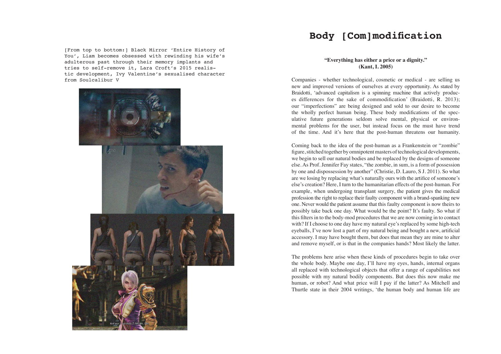#### **"Everything has either a price or a dignity." (Kant, I. 2005)**

Companies - whether technological, cosmetic or medical - are selling us new and improved versions of ourselves at every opportunity. As stated by Braidotti, 'advanced capitalism is a spinning machine that actively produces differences for the sake of commodification' (Braidotti, R. 2013); our "imperfections" are being designed and sold to our desire to become the wholly perfect human being. These body modifications of the speculative future generations seldom solve mental, physical or environmental problems for the user, but instead focus on the must have trend of the time. And it's here that the post-human threatens our humanity.

Coming back to the idea of the post-human as a Frankenstein or "zombie" figure, stitched together by omnipotent masters of technological developments, we begin to sell our natural bodies and be replaced by the designs of someone else. As Prof. Jennifer Fay states, "the zombie, in sum, is a form of possession by one and dispossession by another" (Christie, D. Lauro, S J. 2011). So what are we losing by replacing what's naturally ours with the artifice of someone's else's creation? Here, I turn to the humanitarian effects of the post-human. For example, when undergoing transplant surgery, the patient gives the medical profession the right to replace their faulty component with a brand-spanking new one. Never would the patient assume that this faulty component is now theirs to possibly take back one day. What would be the point? It's faulty. So what if this filters in to the body-mod procedures that we are now coming in to contact with? If I choose to one day have my natural eye's replaced by some high-tech eyeballs, I've now lost a part of my natural being and bought a new, artificial accessory. I may have bought them, but does that mean they are mine to alter and remove myself, or is that in the companies hands? Most likely the latter.

The problems here arise when these kinds of procedures begin to take over the whole body. Maybe one day, I'll have my eyes, hands, internal organs all replaced with technological objects that offer a range of capabilities not possible with my natural bodily components. But does this now make me human, or robot? And what price will I pay if the latter? As Mitchell and Thurtle state in their 2004 writings, 'the human body and human life are

## **Body [Com]modification**

[From top to bottom:] Black Mirror 'Entire History of You', Liam becomes obsessed with rewinding his wife's adulterous past through their memory implants and tries to self-remove it, Lara Croft's 2015 realistic development, Ivy Valentine's sexualised character from Soulcalibur V

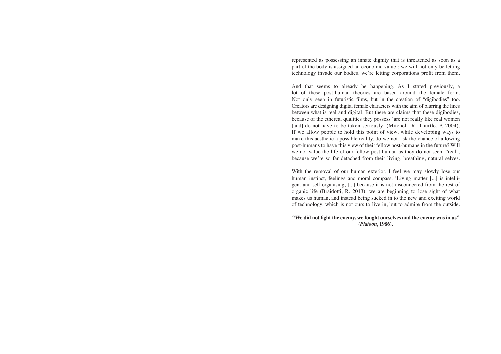represented as possessing an innate dignity that is threatened as soon as a part of the body is assigned an economic value'; we will not only be letting technology invade our bodies, we're letting corporations profit from them.

And that seems to already be happening. As I stated previously, a lot of these post-human theories are based around the female form. Not only seen in futuristic films, but in the creation of "digibodies" too. Creators are designing digital female characters with the aim of blurring the lines between what is real and digital. But there are claims that these digibodies, because of the ethereal qualities they possess 'are not really like real women [and] do not have to be taken seriously' (Mitchell, R. Thurtle, P. 2004). If we allow people to hold this point of view, while developing ways to make this aesthetic a possible reality, do we not risk the chance of allowing post-humans to have this view of their fellow post-humans in the future? Will we not value the life of our fellow post-human as they do not seem "real", because we're so far detached from their living, breathing, natural selves.

With the removal of our human exterior, I feel we may slowly lose our human instinct, feelings and moral compass. 'Living matter [...] is intelligent and self-organising, [...] because it is not disconnected from the rest of organic life (Braidotti, R. 2013): we are beginning to lose sight of what makes us human, and instead being sucked in to the new and exciting world of technology, which is not ours to live in, but to admire from the outside.

**"We did not fight the enemy, we fought ourselves and the enemy was in us" (***Platoon***, 1986).**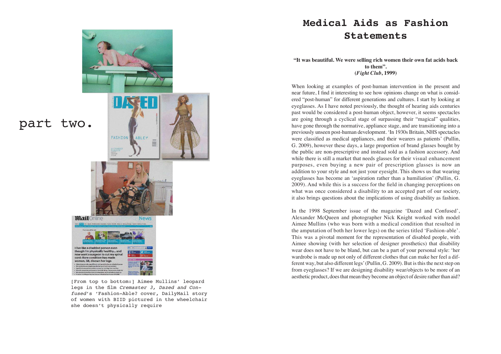**"It was beautiful. We were selling rich women their own fat acids back to them". (***Fight Club***, 1999)**

When looking at examples of post-human intervention in the present and near future, I find it interesting to see how opinions change on what is considered "post-human" for different generations and cultures. I start by looking at eyeglasses. As I have noted previously, the thought of hearing aids centuries past would be considered a post-human object, however, it seems spectacles are going through a cyclical stage of surpassing their "magical" qualities, have gone through the normative, appliance stage, and are transitioning into a previously unseen post-human development. 'In 1930s Britain, NHS spectacles were classified as medical appliances, and their wearers as patients' (Pullin, G. 2009), however these days, a large proportion of brand glasses bought by the public are non-prescriptive and instead sold as a fashion accessory. And while there is still a market that needs glasses for their visual enhancement purposes, even buying a new pair of prescription glasses is now an addition to your style and not just your eyesight. This shows us that wearing eyeglasses has become an 'aspiration rather than a humiliation' (Pullin, G. 2009). And while this is a success for the field in changing perceptions on what was once considered a disability to an accepted part of our society, it also brings questions about the implications of using disability as fashion.

In the 1998 September issue of the magazine 'Dazed and Confused', Alexander McQueen and photographer Nick Knight worked with model Aimee Mullins (who was born with a medical condition that resulted in the amputation of both her lower legs) on the series titled 'Fashion-able'. This was a pivotal moment for the representation of disabled people, with Aimee showing (with her selection of designer prosthetics) that disability wear does not have to be bland, but can be a part of your personal style: 'her wardrobe is made up not only of different clothes that can make her feel a different way, but also different legs' (Pullin, G. 2009). But is this the next step on from eyeglasses? If we are designing disability wear/objects to be more of an aesthetic product, does that mean they become an object of desire rather than aid?

# **Medical Aids as Fashion Statements**

[From top to bottom:] Aimee Mullins' leopard legs in the film *Cremaster 3, Dazed and Confused*'s 'Fashion-Able? cover, DailyMail story of women with BIID pictured in the wheelchair she doesn't physically require

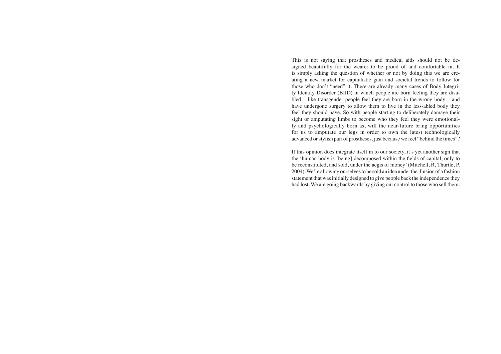This is not saying that prostheses and medical aids should not be designed beautifully for the wearer to be proud of and comfortable in. It is simply asking the question of whether or not by doing this we are creating a new market for capitalistic gain and societal trends to follow for those who don't "need" it. There are already many cases of Body Integrity Identity Disorder (BIID) in which people are born feeling they are disabled – like transgender people feel they are born in the wrong body – and have undergone surgery to allow them to live in the less-abled body they feel they should have. So with people starting to deliberately damage their sight or amputating limbs to become who they feel they were emotionally and psychologically born as, will the near-future bring opportunities for us to amputate our legs in order to own the latest technologically advanced or stylish pair of prostheses, just because we feel "behind the times"?

If this opinion does integrate itself in to our society, it's yet another sign that the 'human body is [being] decomposed within the fields of capital, only to be reconstituted, and sold, under the aegis of money' (Mitchell, R, Thurtle, P. 2004). We're allowing ourselves to be sold an idea under the illusion of a fashion statement that was initially designed to give people back the independence they had lost. We are going backwards by giving our control to those who sell them.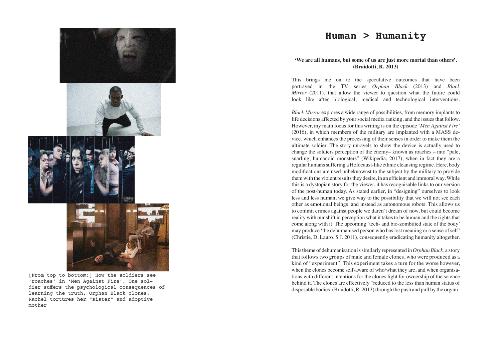### **'We are all humans, but some of us are just more mortal than others'. (Braidotti, R. 2013)**

This brings me on to the speculative outcomes that have been portrayed in the TV series *Orphan Black* (2013) and *Black Mirror* (2011), that allow the viewer to question what the future could look like after biological, medical and technological interventions.

*Black Mirror* explores a wide range of possibilities, from memory implants to life decisions affected by your social media ranking, and the issues that follow. However, my main focus for this writing is on the episode '*Men Against Fire'* (2016), in which members of the military are implanted with a MASS device, which enhances the processing of their senses in order to make them the ultimate soldier. The story unravels to show the device is actually used to change the soldiers perception of the enemy– known as roaches – into "pale, snarling, humanoid monsters" (Wikipedia, 2017), when in fact they are a regular humans suffering a Holocaust-like ethnic cleansing regime. Here, body modifications are used unbeknownst to the subject by the military to provide them with the violent results they desire, in an efficient and immoral way. While this is a dystopian story for the viewer, it has recognisable links to our version of the post-human today. As stated earlier, in "designing" ourselves to look less and less human, we give way to the possibility that we will not see each other as emotional beings, and instead as autonomous robots. This allows us to commit crimes against people we daren't dream of now, but could become reality with our shift in perception what it takes to be human and the rights that come along with it. The upcoming 'tech- and bio-zombified state of the body' may produce 'the dehumanised person who has lost meaning or a sense of self' (Christie, D. Lauro, S J. 2011), consequently eradicating humanity altogether.

This theme of dehumanisation is similarly represented in *Orphan Black*, a story that follows two groups of male and female clones, who were produced as a kind of "experiment". This experiment takes a turn for the worse however, when the clones become self-aware of who/what they are, and when organisations with different intentions for the clones fight for ownership of the science behind it. The clones are effectively "reduced to the less than human status of disposable bodies' (Braidotti, R. 2013) through the push and pull by the organi-



### **Human > Humanity**

[From top to bottom:] How the soldiers see 'roaches' in 'Men Against Fire', One soldier suffers the psychological consequences of learning the truth, Orphan Black clones, Rachel tortures her "sister" and adoptive mother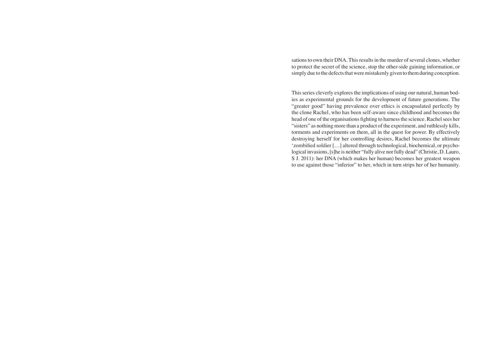sations to own their DNA. This results in the murder of several clones, whether to protect the secret of the science, stop the other-side gaining information, or simply due to the defects that were mistakenly given to them during conception.

This series cleverly explores the implications of using our natural, human bodies as experimental grounds for the development of future generations. The "greater good" having prevalence over ethics is encapsulated perfectly by the clone Rachel, who has been self-aware since childhood and becomes the head of one of the organisations fighting to harness the science. Rachel sees her "sisters" as nothing more than a product of the experiment, and ruthlessly kills, torments and experiments on them, all in the quest for power. By effectively destroying herself for her controlling desires, Rachel becomes the ultimate 'zombified soldier […] altered through technological, biochemical, or psychological invasions, [s]he is neither "fully alive nor fully dead" (Christie, D. Lauro, S J. 2011): her DNA (which makes her human) becomes her greatest weapon to use against those "inferior" to her, which in turn strips her of her humanity.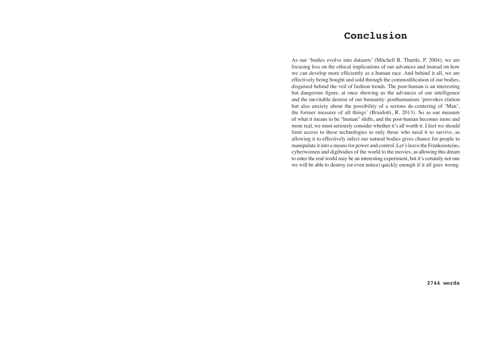As our 'bodies evolve into datasets' (Mitchell R. Thurtle, P. 2004), we are focusing less on the ethical implications of our advances and instead on how we can develop more efficiently as a human race. And behind it all, we are effectively being bought and sold through the commodification of our bodies, disguised behind the veil of fashion trends. The post-human is an interesting but dangerous figure, at once showing us the advances of our intelligence and the inevitable demise of our humanity: posthumanism 'provokes elation but also anxiety about the possibility of a serious de-centering of 'Man', the former measure of all things' (Braidotti, R. 2013). So as our measure of what it means to be "human" shifts, and the post-human becomes more and more real, we must seriously consider whether it's all worth it. I feel we should limit access to these technologies to only those who need it to survive, as allowing it to effectively infect our natural bodies gives chance for people to manipulate it into a means for power and control. Let's leave the Frankensteins, cyberwomen and digibodies of the world to the movies, as allowing this dream to enter the real world may be an interesting experiment, but it's certainly not one we will be able to destroy (or even notice) quickly enough if it all goes wrong.

**2744 words**

# **Conclusion**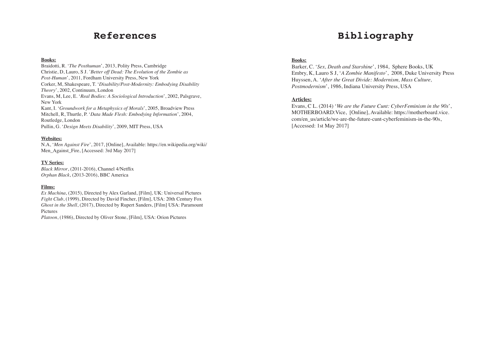#### **Books:**

Braidotti, R. '*The Posthuman*', 2013, Polity Press, Cambridge Christie, D, Lauro, S J. '*Better off Dead: The Evolution of the Zombie as Post-Human*', 2011, Fordham University Press, New York Corker, M, Shakespeare, T. '*Disability/Post-Modernity: Embodying Disability Theory*', 2002, Continuum, London Evans, M, Lee, E. '*Real Bodies: A Sociological Introduction*', 2002, Palsgrave, New York Kant, I. '*Groundwork for a Metaphysics of Morals*', 2005, Broadview Press Mitchell, R, Thurtle, P. '*Data Made Flesh: Embodying Information*', 2004, Routledge, London Pullin, G. '*Design Meets Disability*', 2009, MIT Press, USA

#### **Websites:**

N.A, '*Men Against Fire*', 2017, [Online], Available: https://en.wikipedia.org/wiki/ Men\_Against\_Fire, [Accessed: 3rd May 2017]

#### **TV Series:**

*Black Mirror*, (2011-2016), Channel 4/Netflix *Orphan Black*, (2013-2016), BBC America

#### **Films:**

*Ex Machina*, (2015), Directed by Alex Garland, [Film], UK: Universal Pictures *Fight Club*, (1999), Directed by David Fincher, [Film], USA: 20th Century Fox *Ghost in the Shell*, (2017), Directed by Rupert Sanders, [Film] USA: Paramount Pictures

*Platoon*, (1986), Directed by Oliver Stone, [Film], USA: Orion Pictures

### **References**

#### **Books:**

Barker, C. '*Sex, Death and Starshine*', 1984, Sphere Books, UK Embry, K, Lauro S J, '*A Zombie Manifesto*', 2008, Duke University Press Huyssen, A. '*After the Great Divide: Modernism, Mass Culture, Postmodernism*', 1986, Indiana University Press, USA

#### **Articles:**

Evans, C L. (2014) '*We are the Future Cunt: CyberFeminism in the 90s*', MOTHERBOARD:Vice, [Online], Available: https://motherboard.vice. com/en\_us/article/we-are-the-future-cunt-cyberfeminism-in-the-90s, [Accessed: 1st May 2017]

# **Bibliography**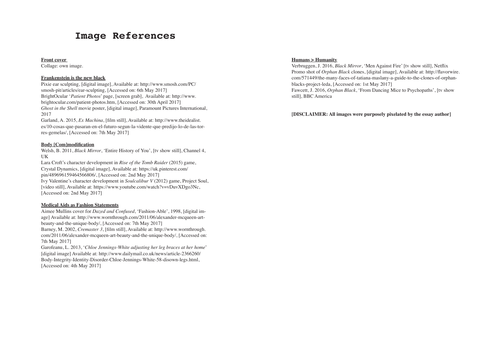#### **Front cover**

Collage: own image.

#### **Frankenstein is the new black**

Pixie ear sculpting, [digital image], Available at: http://www.smosh.com/PC/ smosh-pit/articles/ear-sculpting, [Accessed on: 6th May 2017] BrightOcular '*Patient Photos*' page, [screen grab], Available at: http://www. brightocular.com/patient-photos.htm, [Accessed on: 30th April 2017] *Ghost in the Shell* movie poster, [digital image], Paramount Pictures International, 2017

Garland, A. 2015, *Ex Machina*, [film still], Available at: http://www.theidealist. es/10-cosas-que-pasaran-en-el-futuro-segun-la-vidente-que-predijo-lo-de-las-torres-gemelas/, [Accessed on: 7th May 2017]

#### **Body [Com]modification**

Welsh, B. 2011, *Black Mirror*, 'Entire History of You', [tv show still], Channel 4, UK

Lara Croft's character development in *Rise of the Tomb Raider* (2015) game, Crystal Dynamics, [digital image], Available at: https://uk.pinterest.com/ pin/489696159464566806/, [Accessed on: 2nd May 2017]

Ivy Valentine's character development in *Soulcalibur V* (2012) game, Project Soul, [video still], Available at: https://www.youtube.com/watch?v=vDuvXDgo3Nc, [Accessed on: 2nd May 2017]

#### **Medical Aids as Fashion Statements**

Aimee Mullins cover for *Dazed and Confused*, 'Fashion-Able', 1998, [digital image] Available at: http://www.wornthrough.com/2011/06/alexander-mcqueen-artbeauty-and-the-unique-body/, [Accessed on: 7th May 2017]

Barney, M. 2002, *Cremaster 3*, [film still], Available at: http://www.wornthrough. com/2011/06/alexander-mcqueen-art-beauty-and-the-unique-body/, [Accessed on: 7th May 2017]

Garofeanu, L. 2013, '*Chloe Jennings-White adjusting her leg braces at her home*' [digital image] Available at: http://www.dailymail.co.uk/news/article-2366260/ Body-Integrity-Identity-Disorder-Chloe-Jennings-White-58-disown-legs.html, [Accessed on: 4th May 2017]

### **Image References**

#### **Humans > Humanity**

Verbruggen, J. 2016, *Black Mirror*, 'Men Against Fire' [tv show still], Netflix Promo shot of *Orphan Black* clones, [digital image], Available at: http://flavorwire. com/571449/the-many-faces-of-tatiana-maslany-a-guide-to-the-clones-of-orphanblacks-project-leda, [Accessed on: 1st May 2017] Fawcett, J. 2016, *Orphan Black*, 'From Dancing Mice to Psychopaths', [tv show still], BBC America

#### **[DISCLAIMER: All images were purposely pixelated by the essay author]**